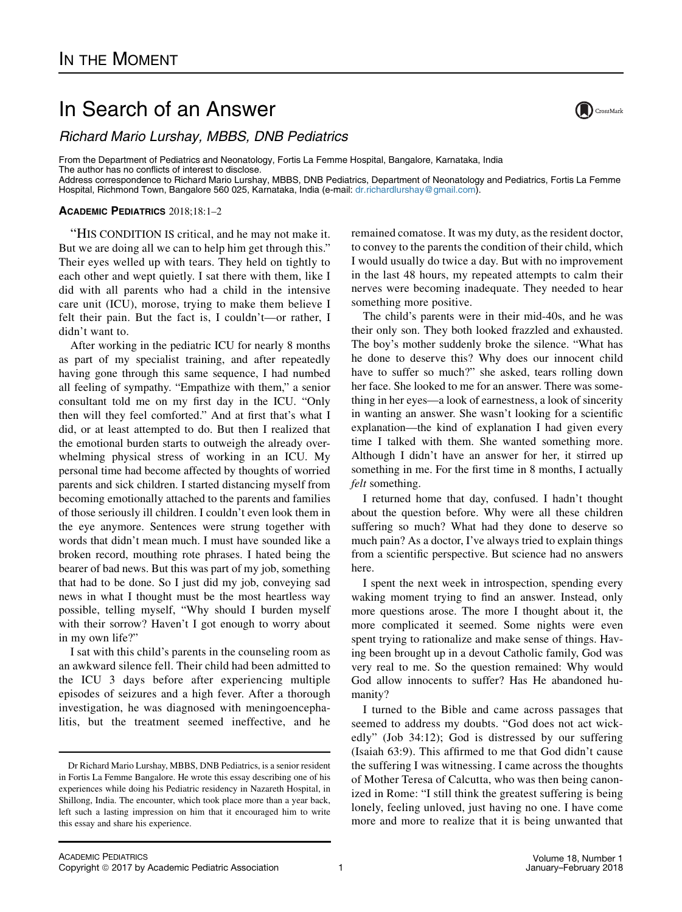## In Search of an Answer

Richard Mario Lurshay, MBBS, DNB Pediatrics

From the Department of Pediatrics and Neonatology, Fortis La Femme Hospital, Bangalore, Karnataka, India The author has no conflicts of interest to disclose. Address correspondence to Richard Mario Lurshay, MBBS, DNB Pediatrics, Department of Neonatology and Pediatrics, Fortis La Femme Hospital, Richmond Town, Bangalore 560 025, Karnataka, India (e-mail: [dr.richardlurshay@gmail.com](mailto:drrichardlurshaygmailcom)).

## ACADEMIC PEDIATRICS 2018;18:1–2

"HIS CONDITION IS critical, and he may not make it. But we are doing all we can to help him get through this." Their eyes welled up with tears. They held on tightly to each other and wept quietly. I sat there with them, like I did with all parents who had a child in the intensive care unit (ICU), morose, trying to make them believe I felt their pain. But the fact is, I couldn't—or rather, I didn't want to.

After working in the pediatric ICU for nearly 8 months as part of my specialist training, and after repeatedly having gone through this same sequence, I had numbed all feeling of sympathy. "Empathize with them," a senior consultant told me on my first day in the ICU. "Only then will they feel comforted." And at first that's what I did, or at least attempted to do. But then I realized that the emotional burden starts to outweigh the already overwhelming physical stress of working in an ICU. My personal time had become affected by thoughts of worried parents and sick children. I started distancing myself from becoming emotionally attached to the parents and families of those seriously ill children. I couldn't even look them in the eye anymore. Sentences were strung together with words that didn't mean much. I must have sounded like a broken record, mouthing rote phrases. I hated being the bearer of bad news. But this was part of my job, something that had to be done. So I just did my job, conveying sad news in what I thought must be the most heartless way possible, telling myself, "Why should I burden myself with their sorrow? Haven't I got enough to worry about in my own life?"

I sat with this child's parents in the counseling room as an awkward silence fell. Their child had been admitted to the ICU 3 days before after experiencing multiple episodes of seizures and a high fever. After a thorough investigation, he was diagnosed with meningoencephalitis, but the treatment seemed ineffective, and he

remained comatose. It was my duty, as the resident doctor, to convey to the parents the condition of their child, which I would usually do twice a day. But with no improvement in the last 48 hours, my repeated attempts to calm their nerves were becoming inadequate. They needed to hear something more positive.

The child's parents were in their mid-40s, and he was their only son. They both looked frazzled and exhausted. The boy's mother suddenly broke the silence. "What has he done to deserve this? Why does our innocent child have to suffer so much?" she asked, tears rolling down her face. She looked to me for an answer. There was something in her eyes—a look of earnestness, a look of sincerity in wanting an answer. She wasn't looking for a scientific explanation—the kind of explanation I had given every time I talked with them. She wanted something more. Although I didn't have an answer for her, it stirred up something in me. For the first time in 8 months, I actually felt something.

I returned home that day, confused. I hadn't thought about the question before. Why were all these children suffering so much? What had they done to deserve so much pain? As a doctor, I've always tried to explain things from a scientific perspective. But science had no answers here.

I spent the next week in introspection, spending every waking moment trying to find an answer. Instead, only more questions arose. The more I thought about it, the more complicated it seemed. Some nights were even spent trying to rationalize and make sense of things. Having been brought up in a devout Catholic family, God was very real to me. So the question remained: Why would God allow innocents to suffer? Has He abandoned humanity?

I turned to the Bible and came across passages that seemed to address my doubts. "God does not act wickedly" (Job 34:12); God is distressed by our suffering (Isaiah 63:9). This affirmed to me that God didn't cause the suffering I was witnessing. I came across the thoughts of Mother Teresa of Calcutta, who was then being canonized in Rome: "I still think the greatest suffering is being lonely, feeling unloved, just having no one. I have come more and more to realize that it is being unwanted that



Dr Richard Mario Lurshay, MBBS, DNB Pediatrics, is a senior resident in Fortis La Femme Bangalore. He wrote this essay describing one of his experiences while doing his Pediatric residency in Nazareth Hospital, in Shillong, India. The encounter, which took place more than a year back, left such a lasting impression on him that it encouraged him to write this essay and share his experience.